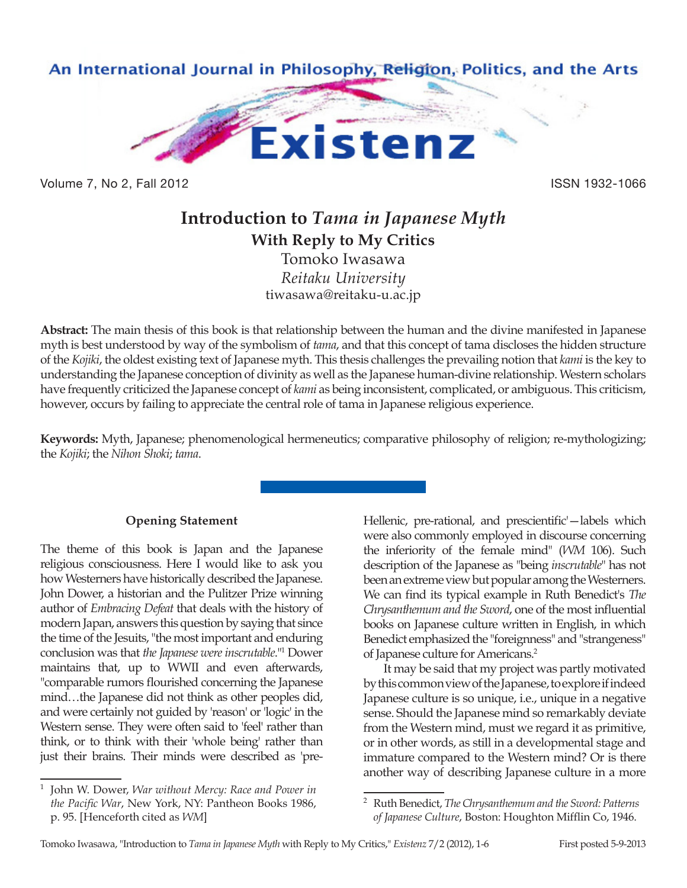

Volume 7, No 2, Fall 2012 **ISSN 1932-1066** 

# **Introduction to** *Tama in Japanese Myth* **With Reply to My Critics** Tomoko Iwasawa *Reitaku University* tiwasawa@reitaku-u.ac.jp

**Abstract:** The main thesis of this book is that relationship between the human and the divine manifested in Japanese myth is best understood by way of the symbolism of *tama*, and that this concept of tama discloses the hidden structure of the *Kojiki*, the oldest existing text of Japanese myth. This thesis challenges the prevailing notion that *kami* is the key to understanding the Japanese conception of divinity as well as the Japanese human-divine relationship. Western scholars have frequently criticized the Japanese concept of *kami* as being inconsistent, complicated, or ambiguous. This criticism, however, occurs by failing to appreciate the central role of tama in Japanese religious experience.

**Keywords:** Myth, Japanese; phenomenological hermeneutics; comparative philosophy of religion; re-mythologizing; the *Kojiki*; the *Nihon Shoki*; *tama*.

# **Opening Statement**

The theme of this book is Japan and the Japanese religious consciousness. Here I would like to ask you how Westerners have historically described the Japanese. John Dower, a historian and the Pulitzer Prize winning author of *Embracing Defeat* that deals with the history of modern Japan, answers this question by saying that since the time of the Jesuits, "the most important and enduring conclusion was that *the Japanese were inscrutable*."1 Dower maintains that, up to WWII and even afterwards, "comparable rumors flourished concerning the Japanese mind…the Japanese did not think as other peoples did, and were certainly not guided by 'reason' or 'logic' in the Western sense. They were often said to 'feel' rather than think, or to think with their 'whole being' rather than just their brains. Their minds were described as 'preHellenic, pre-rational, and prescientific'—labels which were also commonly employed in discourse concerning the inferiority of the female mind" (*WM* 106). Such description of the Japanese as "being *inscrutable*" has not been an extreme view but popular among the Westerners. We can find its typical example in Ruth Benedict's *The Chrysanthemum and the Sword*, one of the most influential books on Japanese culture written in English, in which Benedict emphasized the "foreignness" and "strangeness" of Japanese culture for Americans.2

It may be said that my project was partly motivated by this common view of the Japanese, to explore if indeed Japanese culture is so unique, i.e., unique in a negative sense. Should the Japanese mind so remarkably deviate from the Western mind, must we regard it as primitive, or in other words, as still in a developmental stage and immature compared to the Western mind? Or is there another way of describing Japanese culture in a more

<sup>1</sup> John W. Dower, *War without Mercy: Race and Power in the Pacific War*, New York, NY: Pantheon Books 1986, p. 95. [Henceforth cited as *WM*]

<sup>2</sup> Ruth Benedict, *The Chrysanthemum and the Sword: Patterns of Japanese Culture*, Boston: Houghton Mifflin Co, 1946.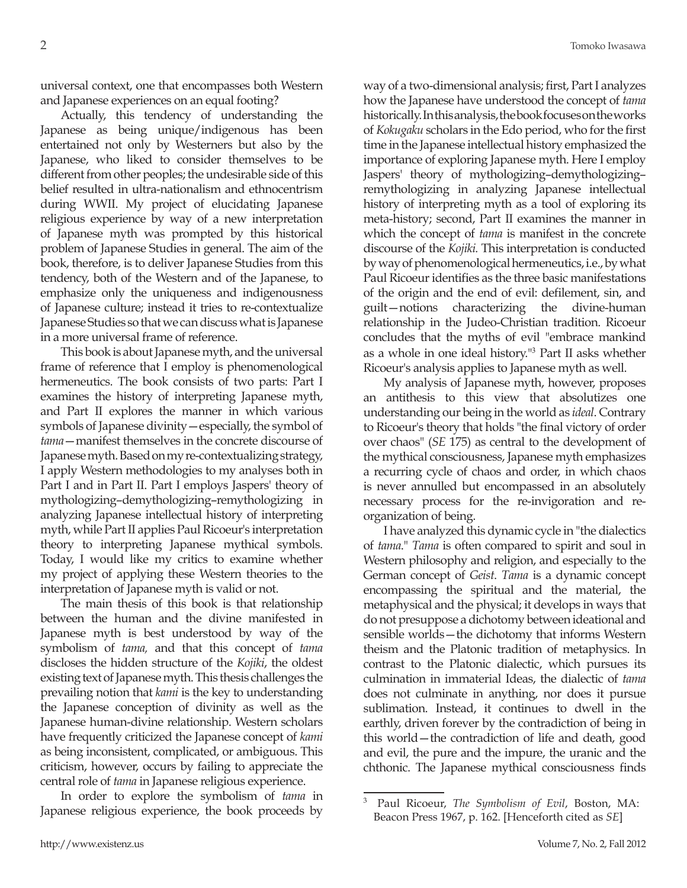universal context, one that encompasses both Western and Japanese experiences on an equal footing?

Actually, this tendency of understanding the Japanese as being unique/indigenous has been entertained not only by Westerners but also by the Japanese, who liked to consider themselves to be different from other peoples; the undesirable side of this belief resulted in ultra-nationalism and ethnocentrism during WWII. My project of elucidating Japanese religious experience by way of a new interpretation of Japanese myth was prompted by this historical problem of Japanese Studies in general. The aim of the book, therefore, is to deliver Japanese Studies from this tendency, both of the Western and of the Japanese, to emphasize only the uniqueness and indigenousness of Japanese culture; instead it tries to re-contextualize Japanese Studies so that we can discuss what is Japanese in a more universal frame of reference.

This book is about Japanese myth, and the universal frame of reference that I employ is phenomenological hermeneutics. The book consists of two parts: Part I examines the history of interpreting Japanese myth, and Part II explores the manner in which various symbols of Japanese divinity—especially, the symbol of *tama*—manifest themselves in the concrete discourse of Japanese myth. Based on my re-contextualizing strategy, I apply Western methodologies to my analyses both in Part I and in Part II. Part I employs Jaspers' theory of mythologizing–demythologizing–remythologizing in analyzing Japanese intellectual history of interpreting myth, while Part II applies Paul Ricoeur's interpretation theory to interpreting Japanese mythical symbols. Today, I would like my critics to examine whether my project of applying these Western theories to the interpretation of Japanese myth is valid or not.

The main thesis of this book is that relationship between the human and the divine manifested in Japanese myth is best understood by way of the symbolism of *tama,* and that this concept of *tama* discloses the hidden structure of the *Kojiki*, the oldest existing text of Japanese myth. This thesis challenges the prevailing notion that *kami* is the key to understanding the Japanese conception of divinity as well as the Japanese human-divine relationship. Western scholars have frequently criticized the Japanese concept of *kami* as being inconsistent, complicated, or ambiguous. This criticism, however, occurs by failing to appreciate the central role of *tama* in Japanese religious experience.

In order to explore the symbolism of *tama* in Japanese religious experience, the book proceeds by

way of a two-dimensional analysis; first, Part I analyzes how the Japanese have understood the concept of *tama* historically. In this analysis, the book focuses on the works of *Kokugaku* scholars in the Edo period, who for the first time in the Japanese intellectual history emphasized the importance of exploring Japanese myth. Here I employ Jaspers' theory of mythologizing–demythologizing– remythologizing in analyzing Japanese intellectual history of interpreting myth as a tool of exploring its meta-history; second, Part II examines the manner in which the concept of *tama* is manifest in the concrete discourse of the *Kojiki.* This interpretation is conducted by way of phenomenological hermeneutics, i.e., by what Paul Ricoeur identifies as the three basic manifestations of the origin and the end of evil: defilement, sin, and guilt—notions characterizing the divine-human relationship in the Judeo-Christian tradition. Ricoeur concludes that the myths of evil "embrace mankind as a whole in one ideal history."<sup>3</sup> Part II asks whether Ricoeur's analysis applies to Japanese myth as well.

My analysis of Japanese myth, however, proposes an antithesis to this view that absolutizes one understanding our being in the world as *ideal*. Contrary to Ricoeur's theory that holds "the final victory of order over chaos" (*SE* 175) as central to the development of the mythical consciousness, Japanese myth emphasizes a recurring cycle of chaos and order, in which chaos is never annulled but encompassed in an absolutely necessary process for the re-invigoration and reorganization of being.

I have analyzed this dynamic cycle in "the dialectics of *tama*." *Tama* is often compared to spirit and soul in Western philosophy and religion, and especially to the German concept of *Geist*. *Tama* is a dynamic concept encompassing the spiritual and the material, the metaphysical and the physical; it develops in ways that do not presuppose a dichotomy between ideational and sensible worlds—the dichotomy that informs Western theism and the Platonic tradition of metaphysics. In contrast to the Platonic dialectic, which pursues its culmination in immaterial Ideas, the dialectic of *tama* does not culminate in anything, nor does it pursue sublimation. Instead, it continues to dwell in the earthly, driven forever by the contradiction of being in this world—the contradiction of life and death, good and evil, the pure and the impure, the uranic and the chthonic. The Japanese mythical consciousness finds

<sup>3</sup> Paul Ricoeur, *The Symbolism of Evil*, Boston, MA: Beacon Press 1967, p. 162. [Henceforth cited as *SE*]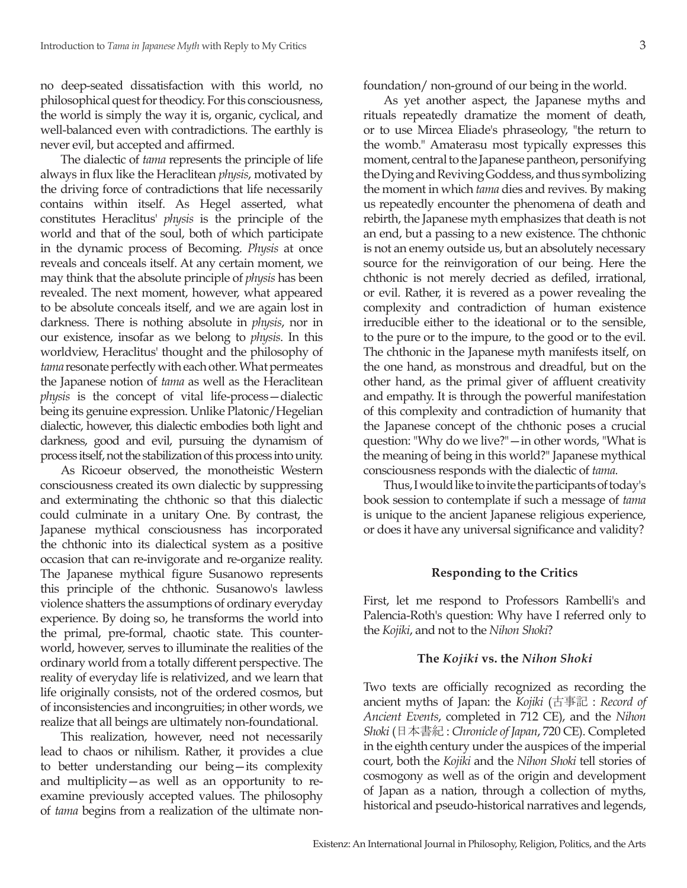no deep-seated dissatisfaction with this world, no philosophical quest for theodicy. For this consciousness, the world is simply the way it is, organic, cyclical, and well-balanced even with contradictions. The earthly is never evil, but accepted and affirmed.

The dialectic of *tama* represents the principle of life always in flux like the Heraclitean *physis*, motivated by the driving force of contradictions that life necessarily contains within itself. As Hegel asserted, what constitutes Heraclitus' *physis* is the principle of the world and that of the soul, both of which participate in the dynamic process of Becoming. *Physis* at once reveals and conceals itself. At any certain moment, we may think that the absolute principle of *physis* has been revealed. The next moment, however, what appeared to be absolute conceals itself, and we are again lost in darkness. There is nothing absolute in *physis*, nor in our existence, insofar as we belong to *physis*. In this worldview, Heraclitus' thought and the philosophy of *tama* resonate perfectly with each other. What permeates the Japanese notion of *tama* as well as the Heraclitean *physis* is the concept of vital life-process—dialectic being its genuine expression. Unlike Platonic/Hegelian dialectic, however, this dialectic embodies both light and darkness, good and evil, pursuing the dynamism of process itself, not the stabilization of this process into unity.

As Ricoeur observed, the monotheistic Western consciousness created its own dialectic by suppressing and exterminating the chthonic so that this dialectic could culminate in a unitary One. By contrast, the Japanese mythical consciousness has incorporated the chthonic into its dialectical system as a positive occasion that can re-invigorate and re-organize reality. The Japanese mythical figure Susanowo represents this principle of the chthonic. Susanowo's lawless violence shatters the assumptions of ordinary everyday experience. By doing so, he transforms the world into the primal, pre-formal, chaotic state. This counterworld, however, serves to illuminate the realities of the ordinary world from a totally different perspective. The reality of everyday life is relativized, and we learn that life originally consists, not of the ordered cosmos, but of inconsistencies and incongruities; in other words, we realize that all beings are ultimately non-foundational.

This realization, however, need not necessarily lead to chaos or nihilism. Rather, it provides a clue to better understanding our being—its complexity and multiplicity—as well as an opportunity to reexamine previously accepted values. The philosophy of *tama* begins from a realization of the ultimate nonfoundation/ non-ground of our being in the world.

As yet another aspect, the Japanese myths and rituals repeatedly dramatize the moment of death, or to use Mircea Eliade's phraseology, "the return to the womb." Amaterasu most typically expresses this moment, central to the Japanese pantheon, personifying the Dying and Reviving Goddess, and thus symbolizing the moment in which *tama* dies and revives. By making us repeatedly encounter the phenomena of death and rebirth, the Japanese myth emphasizes that death is not an end, but a passing to a new existence. The chthonic is not an enemy outside us, but an absolutely necessary source for the reinvigoration of our being. Here the chthonic is not merely decried as defiled, irrational, or evil. Rather, it is revered as a power revealing the complexity and contradiction of human existence irreducible either to the ideational or to the sensible, to the pure or to the impure, to the good or to the evil. The chthonic in the Japanese myth manifests itself, on the one hand, as monstrous and dreadful, but on the other hand, as the primal giver of affluent creativity and empathy. It is through the powerful manifestation of this complexity and contradiction of humanity that the Japanese concept of the chthonic poses a crucial question: "Why do we live?"—in other words, "What is the meaning of being in this world?" Japanese mythical consciousness responds with the dialectic of *tama.*

Thus, I would like to invite the participants of today's book session to contemplate if such a message of *tama* is unique to the ancient Japanese religious experience, or does it have any universal significance and validity?

## **Responding to the Critics**

First, let me respond to Professors Rambelli's and Palencia-Roth's question: Why have I referred only to the *Kojiki*, and not to the *Nihon Shoki*?

#### **The** *Kojiki* **vs. the** *Nihon Shoki*

Two texts are officially recognized as recording the ancient myths of Japan: the *Kojiki* (古事記 : *Record of Ancient Events*, completed in 712 CE), and the *Nihon Shoki* (日本書紀 : *Chronicle of Japan*, 720 CE). Completed in the eighth century under the auspices of the imperial court, both the *Kojiki* and the *Nihon Shoki* tell stories of cosmogony as well as of the origin and development of Japan as a nation, through a collection of myths, historical and pseudo-historical narratives and legends,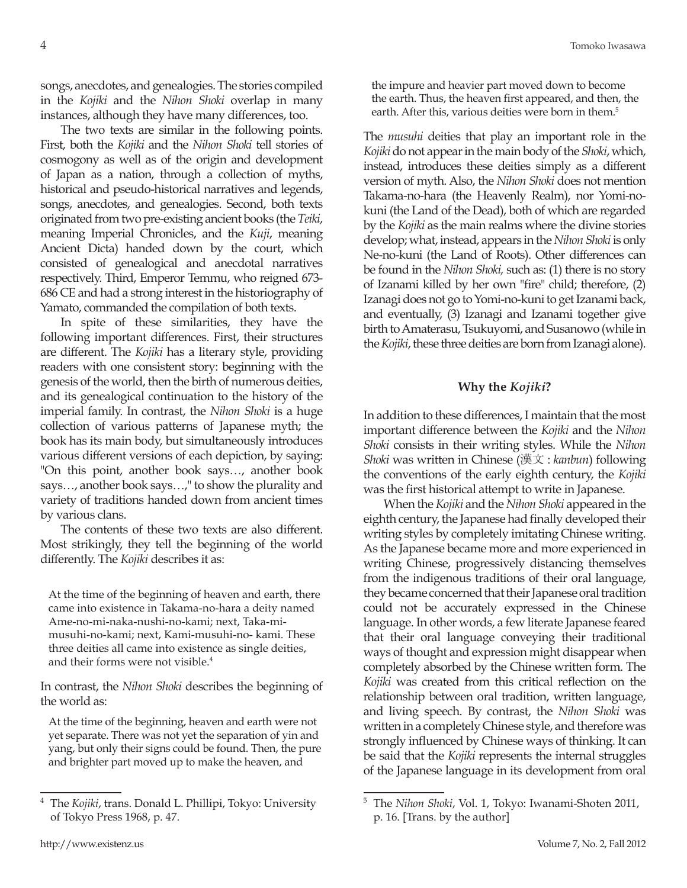songs, anecdotes, and genealogies. The stories compiled in the *Kojiki* and the *Nihon Shoki* overlap in many instances, although they have many differences, too.

The two texts are similar in the following points. First, both the *Kojiki* and the *Nihon Shoki* tell stories of cosmogony as well as of the origin and development of Japan as a nation, through a collection of myths, historical and pseudo-historical narratives and legends, songs, anecdotes, and genealogies. Second, both texts originated from two pre-existing ancient books (the *Teiki*, meaning Imperial Chronicles, and the *Kuji*, meaning Ancient Dicta) handed down by the court, which consisted of genealogical and anecdotal narratives respectively. Third, Emperor Temmu, who reigned 673- 686 CE and had a strong interest in the historiography of Yamato, commanded the compilation of both texts.

In spite of these similarities, they have the following important differences. First, their structures are different. The *Kojiki* has a literary style, providing readers with one consistent story: beginning with the genesis of the world, then the birth of numerous deities, and its genealogical continuation to the history of the imperial family. In contrast, the *Nihon Shoki* is a huge collection of various patterns of Japanese myth; the book has its main body, but simultaneously introduces various different versions of each depiction, by saying: "On this point, another book says…, another book says…, another book says…," to show the plurality and variety of traditions handed down from ancient times by various clans.

The contents of these two texts are also different. Most strikingly, they tell the beginning of the world differently. The *Kojiki* describes it as:

At the time of the beginning of heaven and earth, there came into existence in Takama-no-hara a deity named Ame-no-mi-naka-nushi-no-kami; next, Taka-mimusuhi-no-kami; next, Kami-musuhi-no- kami. These three deities all came into existence as single deities, and their forms were not visible.<sup>4</sup>

In contrast, the *Nihon Shoki* describes the beginning of the world as:

At the time of the beginning, heaven and earth were not yet separate. There was not yet the separation of yin and yang, but only their signs could be found. Then, the pure and brighter part moved up to make the heaven, and

the impure and heavier part moved down to become the earth. Thus, the heaven first appeared, and then, the earth. After this, various deities were born in them.<sup>5</sup>

The *musuhi* deities that play an important role in the *Kojiki* do not appear in the main body of the *Shoki*, which, instead, introduces these deities simply as a different version of myth. Also, the *Nihon Shoki* does not mention Takama-no-hara (the Heavenly Realm), nor Yomi-nokuni (the Land of the Dead), both of which are regarded by the *Kojiki* as the main realms where the divine stories develop; what, instead, appears in the *Nihon Shoki* is only Ne-no-kuni (the Land of Roots). Other differences can be found in the *Nihon Shoki,* such as: (1) there is no story of Izanami killed by her own "fire" child; therefore, (2) Izanagi does not go to Yomi-no-kuni to get Izanami back, and eventually, (3) Izanagi and Izanami together give birth to Amaterasu, Tsukuyomi, and Susanowo (while in the *Kojiki*, these three deities are born from Izanagi alone).

#### **Why the** *Kojiki***?**

In addition to these differences, I maintain that the most important difference between the *Kojiki* and the *Nihon Shoki* consists in their writing styles. While the *Nihon Shoki* was written in Chinese (漢文 : *kanbun*) following the conventions of the early eighth century, the *Kojiki* was the first historical attempt to write in Japanese.

When the *Kojiki* and the *Nihon Shoki* appeared in the eighth century, the Japanese had finally developed their writing styles by completely imitating Chinese writing. As the Japanese became more and more experienced in writing Chinese, progressively distancing themselves from the indigenous traditions of their oral language, they became concerned that their Japanese oral tradition could not be accurately expressed in the Chinese language. In other words, a few literate Japanese feared that their oral language conveying their traditional ways of thought and expression might disappear when completely absorbed by the Chinese written form. The *Kojiki* was created from this critical reflection on the relationship between oral tradition, written language, and living speech. By contrast, the *Nihon Shoki* was written in a completely Chinese style, and therefore was strongly influenced by Chinese ways of thinking. It can be said that the *Kojiki* represents the internal struggles of the Japanese language in its development from oral

<sup>4</sup> The *Kojiki*, trans. Donald L. Phillipi, Tokyo: University of Tokyo Press 1968, p. 47.

<sup>5</sup> The *Nihon Shoki*, Vol. 1, Tokyo: Iwanami-Shoten 2011, p. 16. [Trans. by the author]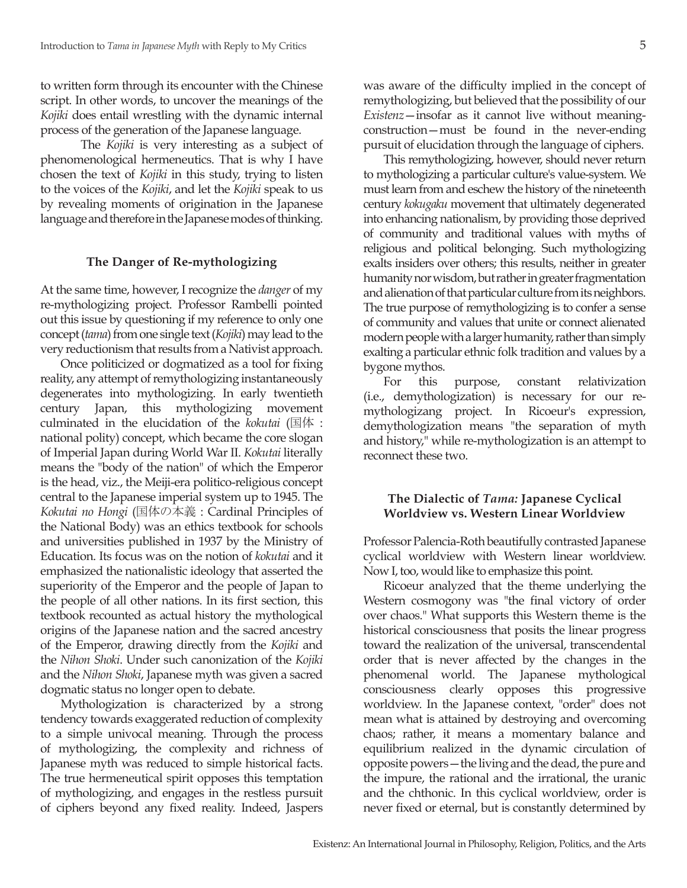to written form through its encounter with the Chinese script. In other words, to uncover the meanings of the *Kojiki* does entail wrestling with the dynamic internal process of the generation of the Japanese language.

The *Kojiki* is very interesting as a subject of phenomenological hermeneutics. That is why I have chosen the text of *Kojiki* in this study, trying to listen to the voices of the *Kojiki*, and let the *Kojiki* speak to us by revealing moments of origination in the Japanese language and therefore in the Japanese modes of thinking.

# **The Danger of Re-mythologizing**

At the same time, however, I recognize the *danger* of my re-mythologizing project. Professor Rambelli pointed out this issue by questioning if my reference to only one concept (*tama*) from one single text (*Kojiki*) may lead to the very reductionism that results from a Nativist approach.

Once politicized or dogmatized as a tool for fixing reality, any attempt of remythologizing instantaneously degenerates into mythologizing. In early twentieth century Japan, this mythologizing movement culminated in the elucidation of the *kokutai* (国体 : national polity) concept, which became the core slogan of Imperial Japan during World War II. *Kokutai* literally means the "body of the nation" of which the Emperor is the head, viz., the Meiji-era politico-religious concept central to the Japanese imperial system up to 1945. The *Kokutai no Hongi* (国体の本義 : Cardinal Principles of the National Body) was an ethics textbook for schools and universities published in 1937 by the Ministry of Education. Its focus was on the notion of *kokutai* and it emphasized the nationalistic ideology that asserted the superiority of the Emperor and the people of Japan to the people of all other nations. In its first section, this textbook recounted as actual history the mythological origins of the Japanese nation and the sacred ancestry of the Emperor, drawing directly from the *Kojiki* and the *Nihon Shoki*. Under such canonization of the *Kojiki* and the *Nihon Shoki*, Japanese myth was given a sacred dogmatic status no longer open to debate.

Mythologization is characterized by a strong tendency towards exaggerated reduction of complexity to a simple univocal meaning. Through the process of mythologizing, the complexity and richness of Japanese myth was reduced to simple historical facts. The true hermeneutical spirit opposes this temptation of mythologizing, and engages in the restless pursuit of ciphers beyond any fixed reality. Indeed, Jaspers

was aware of the difficulty implied in the concept of remythologizing, but believed that the possibility of our *Existenz*—insofar as it cannot live without meaningconstruction—must be found in the never-ending pursuit of elucidation through the language of ciphers.

This remythologizing, however, should never return to mythologizing a particular culture's value-system. We must learn from and eschew the history of the nineteenth century *kokugaku* movement that ultimately degenerated into enhancing nationalism, by providing those deprived of community and traditional values with myths of religious and political belonging. Such mythologizing exalts insiders over others; this results, neither in greater humanity nor wisdom, but rather in greater fragmentation and alienation of that particular culture from its neighbors. The true purpose of remythologizing is to confer a sense of community and values that unite or connect alienated modern people with a larger humanity, rather than simply exalting a particular ethnic folk tradition and values by a bygone mythos.

For this purpose, constant relativization (i.e., demythologization) is necessary for our remythologizang project. In Ricoeur's expression, demythologization means "the separation of myth and history," while re-mythologization is an attempt to reconnect these two.

# **The Dialectic of** *Tama:* **Japanese Cyclical Worldview vs. Western Linear Worldview**

Professor Palencia-Roth beautifully contrasted Japanese cyclical worldview with Western linear worldview. Now I, too, would like to emphasize this point.

Ricoeur analyzed that the theme underlying the Western cosmogony was "the final victory of order over chaos." What supports this Western theme is the historical consciousness that posits the linear progress toward the realization of the universal, transcendental order that is never affected by the changes in the phenomenal world. The Japanese mythological consciousness clearly opposes this progressive worldview. In the Japanese context, "order" does not mean what is attained by destroying and overcoming chaos; rather, it means a momentary balance and equilibrium realized in the dynamic circulation of opposite powers—the living and the dead, the pure and the impure, the rational and the irrational, the uranic and the chthonic. In this cyclical worldview, order is never fixed or eternal, but is constantly determined by